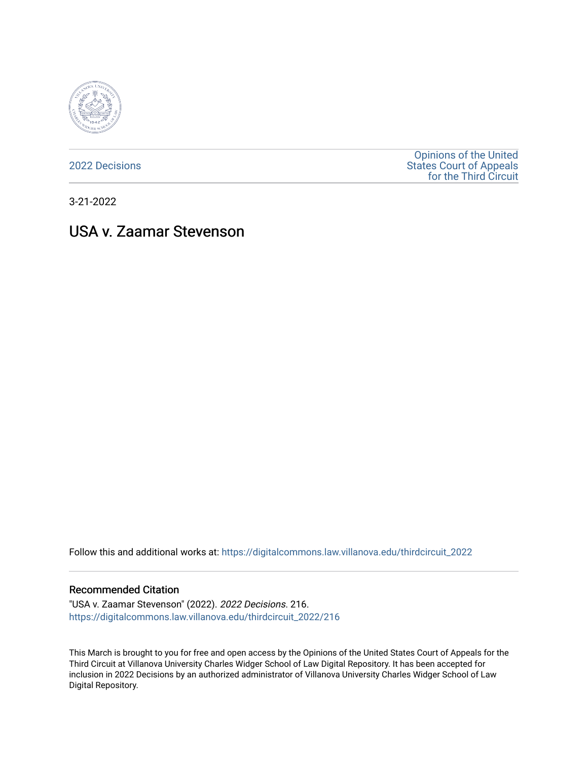

[2022 Decisions](https://digitalcommons.law.villanova.edu/thirdcircuit_2022)

[Opinions of the United](https://digitalcommons.law.villanova.edu/thirdcircuit)  [States Court of Appeals](https://digitalcommons.law.villanova.edu/thirdcircuit)  [for the Third Circuit](https://digitalcommons.law.villanova.edu/thirdcircuit) 

3-21-2022

# USA v. Zaamar Stevenson

Follow this and additional works at: [https://digitalcommons.law.villanova.edu/thirdcircuit\\_2022](https://digitalcommons.law.villanova.edu/thirdcircuit_2022?utm_source=digitalcommons.law.villanova.edu%2Fthirdcircuit_2022%2F216&utm_medium=PDF&utm_campaign=PDFCoverPages) 

#### Recommended Citation

"USA v. Zaamar Stevenson" (2022). 2022 Decisions. 216. [https://digitalcommons.law.villanova.edu/thirdcircuit\\_2022/216](https://digitalcommons.law.villanova.edu/thirdcircuit_2022/216?utm_source=digitalcommons.law.villanova.edu%2Fthirdcircuit_2022%2F216&utm_medium=PDF&utm_campaign=PDFCoverPages)

This March is brought to you for free and open access by the Opinions of the United States Court of Appeals for the Third Circuit at Villanova University Charles Widger School of Law Digital Repository. It has been accepted for inclusion in 2022 Decisions by an authorized administrator of Villanova University Charles Widger School of Law Digital Repository.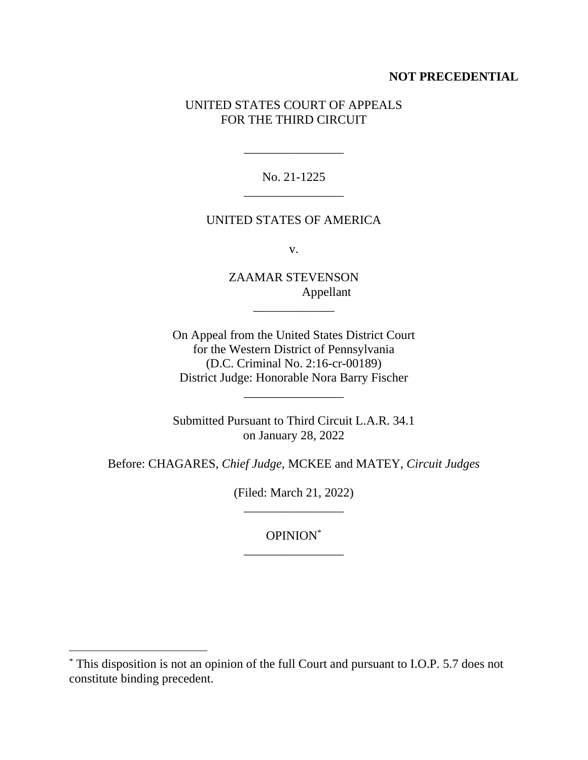## **NOT PRECEDENTIAL**

## UNITED STATES COURT OF APPEALS FOR THE THIRD CIRCUIT

No. 21-1225 \_\_\_\_\_\_\_\_\_\_\_\_\_\_\_\_

\_\_\_\_\_\_\_\_\_\_\_\_\_\_\_\_

### UNITED STATES OF AMERICA

v.

ZAAMAR STEVENSON Appellant

\_\_\_\_\_\_\_\_\_\_\_\_\_

On Appeal from the United States District Court for the Western District of Pennsylvania (D.C. Criminal No. 2:16-cr-00189) District Judge: Honorable Nora Barry Fischer

Submitted Pursuant to Third Circuit L.A.R. 34.1 on January 28, 2022

\_\_\_\_\_\_\_\_\_\_\_\_\_\_\_\_

Before: CHAGARES, *Chief Judge*, MCKEE and MATEY, *Circuit Judges*

(Filed: March 21, 2022) \_\_\_\_\_\_\_\_\_\_\_\_\_\_\_\_

OPINION\* \_\_\_\_\_\_\_\_\_\_\_\_\_\_\_\_

<sup>\*</sup> This disposition is not an opinion of the full Court and pursuant to I.O.P. 5.7 does not constitute binding precedent.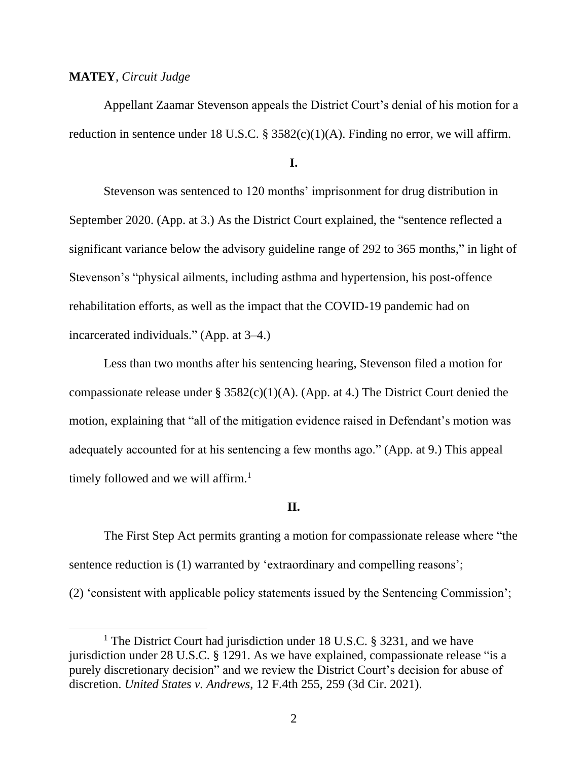#### **MATEY**, *Circuit Judge*

Appellant Zaamar Stevenson appeals the District Court's denial of his motion for a reduction in sentence under 18 U.S.C.  $\S$  3582(c)(1)(A). Finding no error, we will affirm.

#### **I.**

Stevenson was sentenced to 120 months' imprisonment for drug distribution in September 2020. (App. at 3.) As the District Court explained, the "sentence reflected a significant variance below the advisory guideline range of 292 to 365 months," in light of Stevenson's "physical ailments, including asthma and hypertension, his post-offence rehabilitation efforts, as well as the impact that the COVID-19 pandemic had on incarcerated individuals." (App. at 3–4.)

Less than two months after his sentencing hearing, Stevenson filed a motion for compassionate release under §  $3582(c)(1)(A)$ . (App. at 4.) The District Court denied the motion, explaining that "all of the mitigation evidence raised in Defendant's motion was adequately accounted for at his sentencing a few months ago." (App. at 9.) This appeal timely followed and we will affirm.<sup>1</sup>

### **II.**

The First Step Act permits granting a motion for compassionate release where "the sentence reduction is (1) warranted by 'extraordinary and compelling reasons'; (2) 'consistent with applicable policy statements issued by the Sentencing Commission';

<sup>&</sup>lt;sup>1</sup> The District Court had jurisdiction under 18 U.S.C. § 3231, and we have jurisdiction under 28 U.S.C. § 1291. As we have explained, compassionate release "is a purely discretionary decision" and we review the District Court's decision for abuse of discretion. *United States v. Andrews*, 12 F.4th 255, 259 (3d Cir. 2021).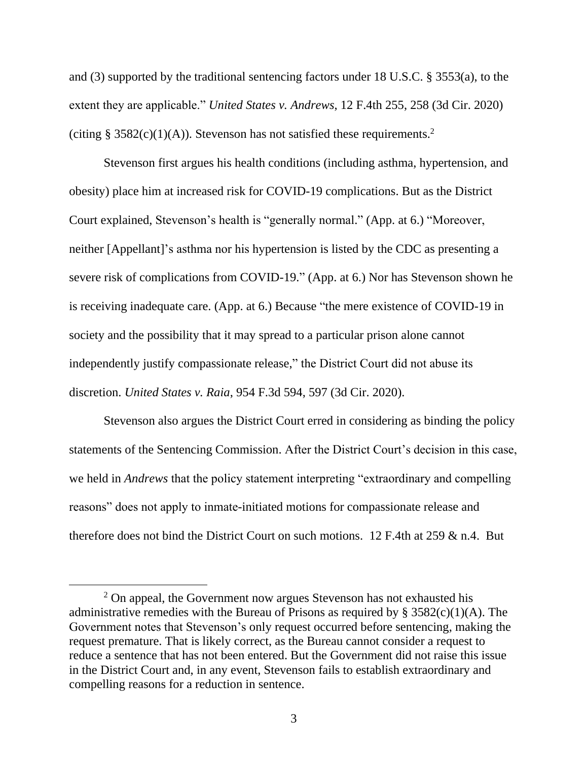and (3) supported by the traditional sentencing factors under 18 U.S.C. § 3553(a), to the extent they are applicable." *United States v. Andrews*, 12 F.4th 255, 258 (3d Cir. 2020) (citing § 3582(c)(1)(A)). Stevenson has not satisfied these requirements.<sup>2</sup>

Stevenson first argues his health conditions (including asthma, hypertension, and obesity) place him at increased risk for COVID-19 complications. But as the District Court explained, Stevenson's health is "generally normal." (App. at 6.) "Moreover, neither [Appellant]'s asthma nor his hypertension is listed by the CDC as presenting a severe risk of complications from COVID-19." (App. at 6.) Nor has Stevenson shown he is receiving inadequate care. (App. at 6.) Because "the mere existence of COVID-19 in society and the possibility that it may spread to a particular prison alone cannot independently justify compassionate release," the District Court did not abuse its discretion. *United States v. Raia*, 954 F.3d 594, 597 (3d Cir. 2020).

Stevenson also argues the District Court erred in considering as binding the policy statements of the Sentencing Commission. After the District Court's decision in this case, we held in *Andrews* that the policy statement interpreting "extraordinary and compelling reasons" does not apply to inmate-initiated motions for compassionate release and therefore does not bind the District Court on such motions. 12 F.4th at 259 & n.4. But

 $2$  On appeal, the Government now argues Stevenson has not exhausted his administrative remedies with the Bureau of Prisons as required by  $\S 3582(c)(1)(A)$ . The Government notes that Stevenson's only request occurred before sentencing, making the request premature. That is likely correct, as the Bureau cannot consider a request to reduce a sentence that has not been entered. But the Government did not raise this issue in the District Court and, in any event, Stevenson fails to establish extraordinary and compelling reasons for a reduction in sentence.